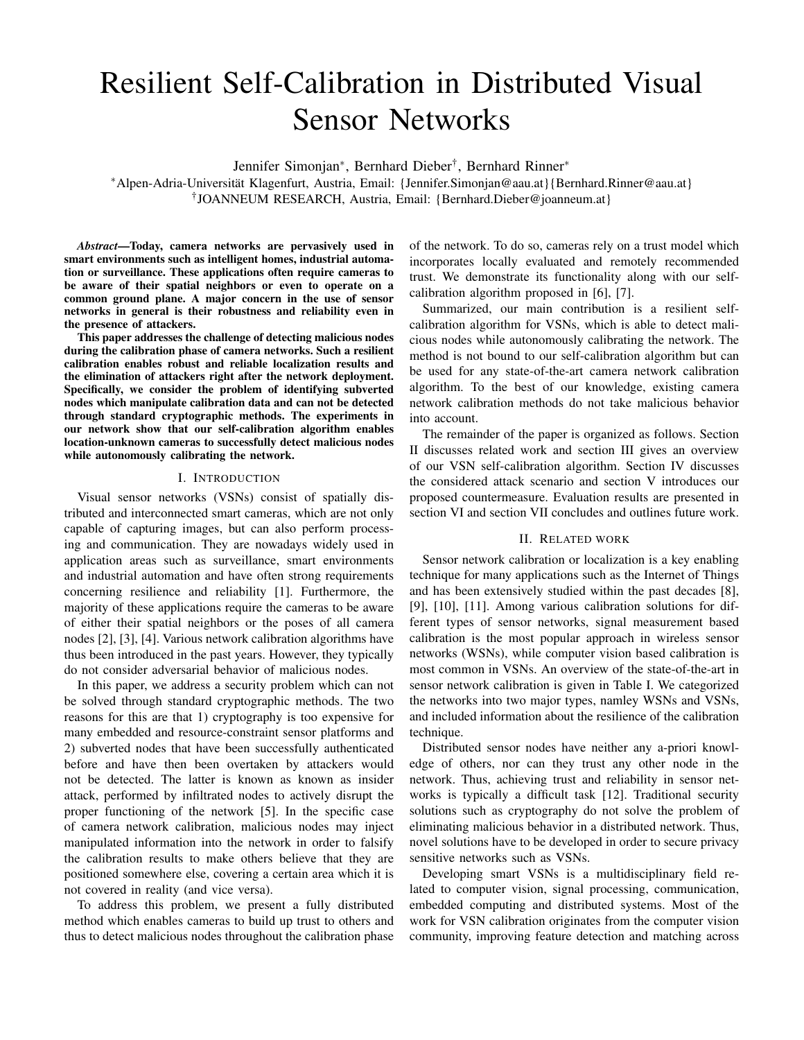# Resilient Self-Calibration in Distributed Visual Sensor Networks

Jennifer Simonjan<sup>∗</sup> , Bernhard Dieber† , Bernhard Rinner<sup>∗</sup>

<sup>∗</sup>Alpen-Adria-Universität Klagenfurt, Austria, Email: {Jennifer.Simonjan@aau.at}{Bernhard.Rinner@aau.at} † JOANNEUM RESEARCH, Austria, Email: {Bernhard.Dieber@joanneum.at}

*Abstract*—Today, camera networks are pervasively used in smart environments such as intelligent homes, industrial automation or surveillance. These applications often require cameras to be aware of their spatial neighbors or even to operate on a common ground plane. A major concern in the use of sensor networks in general is their robustness and reliability even in the presence of attackers.

This paper addresses the challenge of detecting malicious nodes during the calibration phase of camera networks. Such a resilient calibration enables robust and reliable localization results and the elimination of attackers right after the network deployment. Specifically, we consider the problem of identifying subverted nodes which manipulate calibration data and can not be detected through standard cryptographic methods. The experiments in our network show that our self-calibration algorithm enables location-unknown cameras to successfully detect malicious nodes while autonomously calibrating the network.

#### I. INTRODUCTION

Visual sensor networks (VSNs) consist of spatially distributed and interconnected smart cameras, which are not only capable of capturing images, but can also perform processing and communication. They are nowadays widely used in application areas such as surveillance, smart environments and industrial automation and have often strong requirements concerning resilience and reliability [1]. Furthermore, the majority of these applications require the cameras to be aware of either their spatial neighbors or the poses of all camera nodes [2], [3], [4]. Various network calibration algorithms have thus been introduced in the past years. However, they typically do not consider adversarial behavior of malicious nodes.

In this paper, we address a security problem which can not be solved through standard cryptographic methods. The two reasons for this are that 1) cryptography is too expensive for many embedded and resource-constraint sensor platforms and 2) subverted nodes that have been successfully authenticated before and have then been overtaken by attackers would not be detected. The latter is known as known as insider attack, performed by infiltrated nodes to actively disrupt the proper functioning of the network [5]. In the specific case of camera network calibration, malicious nodes may inject manipulated information into the network in order to falsify the calibration results to make others believe that they are positioned somewhere else, covering a certain area which it is not covered in reality (and vice versa).

To address this problem, we present a fully distributed method which enables cameras to build up trust to others and thus to detect malicious nodes throughout the calibration phase of the network. To do so, cameras rely on a trust model which incorporates locally evaluated and remotely recommended trust. We demonstrate its functionality along with our selfcalibration algorithm proposed in [6], [7].

Summarized, our main contribution is a resilient selfcalibration algorithm for VSNs, which is able to detect malicious nodes while autonomously calibrating the network. The method is not bound to our self-calibration algorithm but can be used for any state-of-the-art camera network calibration algorithm. To the best of our knowledge, existing camera network calibration methods do not take malicious behavior into account.

The remainder of the paper is organized as follows. Section II discusses related work and section III gives an overview of our VSN self-calibration algorithm. Section IV discusses the considered attack scenario and section V introduces our proposed countermeasure. Evaluation results are presented in section VI and section VII concludes and outlines future work.

#### II. RELATED WORK

Sensor network calibration or localization is a key enabling technique for many applications such as the Internet of Things and has been extensively studied within the past decades [8], [9], [10], [11]. Among various calibration solutions for different types of sensor networks, signal measurement based calibration is the most popular approach in wireless sensor networks (WSNs), while computer vision based calibration is most common in VSNs. An overview of the state-of-the-art in sensor network calibration is given in Table I. We categorized the networks into two major types, namley WSNs and VSNs, and included information about the resilience of the calibration technique.

Distributed sensor nodes have neither any a-priori knowledge of others, nor can they trust any other node in the network. Thus, achieving trust and reliability in sensor networks is typically a difficult task [12]. Traditional security solutions such as cryptography do not solve the problem of eliminating malicious behavior in a distributed network. Thus, novel solutions have to be developed in order to secure privacy sensitive networks such as VSNs.

Developing smart VSNs is a multidisciplinary field related to computer vision, signal processing, communication, embedded computing and distributed systems. Most of the work for VSN calibration originates from the computer vision community, improving feature detection and matching across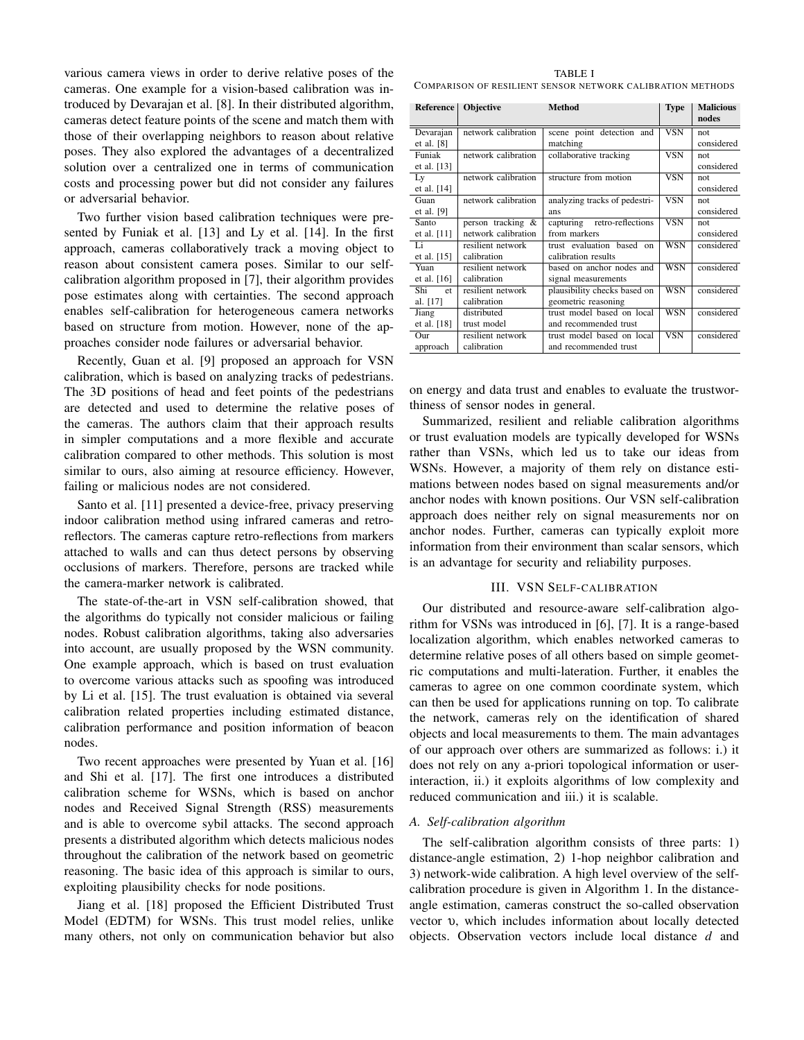various camera views in order to derive relative poses of the cameras. One example for a vision-based calibration was introduced by Devarajan et al. [8]. In their distributed algorithm, cameras detect feature points of the scene and match them with those of their overlapping neighbors to reason about relative poses. They also explored the advantages of a decentralized solution over a centralized one in terms of communication costs and processing power but did not consider any failures or adversarial behavior.

Two further vision based calibration techniques were presented by Funiak et al. [13] and Ly et al. [14]. In the first approach, cameras collaboratively track a moving object to reason about consistent camera poses. Similar to our selfcalibration algorithm proposed in [7], their algorithm provides pose estimates along with certainties. The second approach enables self-calibration for heterogeneous camera networks based on structure from motion. However, none of the approaches consider node failures or adversarial behavior.

Recently, Guan et al. [9] proposed an approach for VSN calibration, which is based on analyzing tracks of pedestrians. The 3D positions of head and feet points of the pedestrians are detected and used to determine the relative poses of the cameras. The authors claim that their approach results in simpler computations and a more flexible and accurate calibration compared to other methods. This solution is most similar to ours, also aiming at resource efficiency. However, failing or malicious nodes are not considered.

Santo et al. [11] presented a device-free, privacy preserving indoor calibration method using infrared cameras and retroreflectors. The cameras capture retro-reflections from markers attached to walls and can thus detect persons by observing occlusions of markers. Therefore, persons are tracked while the camera-marker network is calibrated.

The state-of-the-art in VSN self-calibration showed, that the algorithms do typically not consider malicious or failing nodes. Robust calibration algorithms, taking also adversaries into account, are usually proposed by the WSN community. One example approach, which is based on trust evaluation to overcome various attacks such as spoofing was introduced by Li et al. [15]. The trust evaluation is obtained via several calibration related properties including estimated distance, calibration performance and position information of beacon nodes.

Two recent approaches were presented by Yuan et al. [16] and Shi et al. [17]. The first one introduces a distributed calibration scheme for WSNs, which is based on anchor nodes and Received Signal Strength (RSS) measurements and is able to overcome sybil attacks. The second approach presents a distributed algorithm which detects malicious nodes throughout the calibration of the network based on geometric reasoning. The basic idea of this approach is similar to ours, exploiting plausibility checks for node positions.

Jiang et al. [18] proposed the Efficient Distributed Trust Model (EDTM) for WSNs. This trust model relies, unlike many others, not only on communication behavior but also

|                                                            | TABLE I |  |
|------------------------------------------------------------|---------|--|
| COMPARISON OF RESILIENT SENSOR NETWORK CALIBRATION METHODS |         |  |

TABLE I

| Reference          | Objective           | Method                                  | <b>Type</b>             | <b>Malicious</b><br>nodes |
|--------------------|---------------------|-----------------------------------------|-------------------------|---------------------------|
| Devarajan          | network calibration | scene point detection and               | $\overline{\text{VSN}}$ | not.                      |
| et al. $[8]$       |                     | matching                                |                         | considered                |
| Funiak             | network calibration | collaborative tracking                  | <b>VSN</b>              | not.                      |
| et al. $[13]$      |                     |                                         |                         | considered                |
| Ly                 | network calibration | structure from motion                   | <b>VSN</b>              | not.                      |
| et al. $[14]$      |                     |                                         |                         | considered                |
| Guan               | network calibration | analyzing tracks of pedestri-           | <b>VSN</b>              | not                       |
| et al. $[9]$       |                     | ans                                     |                         | considered                |
| Santo              | person tracking &   | capturing<br>retro-reflections          | <b>VSN</b>              | not.                      |
| et al. $[11]$      | network calibration | from markers                            |                         | considered                |
| Li                 | resilient network   | trust evaluation based<br><sub>on</sub> | <b>WSN</b>              | considered                |
| et al. $[15]$      | calibration         | calibration results                     |                         |                           |
| Yuan               | resilient network   | based on anchor nodes and               | <b>WSN</b>              | considered                |
| et al. $[16]$      | calibration         | signal measurements                     |                         |                           |
| Shi<br>$_{\rm et}$ | resilient network   | plausibility checks based on            | <b>WSN</b>              | considered                |
| al. [17]           | calibration         | geometric reasoning                     |                         |                           |
| Jiang              | distributed         | trust model based on local              | <b>WSN</b>              | considered                |
| et al. $[18]$      | trust model         | and recommended trust                   |                         |                           |
| Our                | resilient network   | trust model based on local              | VSN                     | considered                |
| approach           | calibration         | and recommended trust                   |                         |                           |

on energy and data trust and enables to evaluate the trustworthiness of sensor nodes in general.

Summarized, resilient and reliable calibration algorithms or trust evaluation models are typically developed for WSNs rather than VSNs, which led us to take our ideas from WSNs. However, a majority of them rely on distance estimations between nodes based on signal measurements and/or anchor nodes with known positions. Our VSN self-calibration approach does neither rely on signal measurements nor on anchor nodes. Further, cameras can typically exploit more information from their environment than scalar sensors, which is an advantage for security and reliability purposes.

# III. VSN SELF-CALIBRATION

Our distributed and resource-aware self-calibration algorithm for VSNs was introduced in [6], [7]. It is a range-based localization algorithm, which enables networked cameras to determine relative poses of all others based on simple geometric computations and multi-lateration. Further, it enables the cameras to agree on one common coordinate system, which can then be used for applications running on top. To calibrate the network, cameras rely on the identification of shared objects and local measurements to them. The main advantages of our approach over others are summarized as follows: i.) it does not rely on any a-priori topological information or userinteraction, ii.) it exploits algorithms of low complexity and reduced communication and iii.) it is scalable.

## *A. Self-calibration algorithm*

The self-calibration algorithm consists of three parts: 1) distance-angle estimation, 2) 1-hop neighbor calibration and 3) network-wide calibration. A high level overview of the selfcalibration procedure is given in Algorithm 1. In the distanceangle estimation, cameras construct the so-called observation vector υ, which includes information about locally detected objects. Observation vectors include local distance *d* and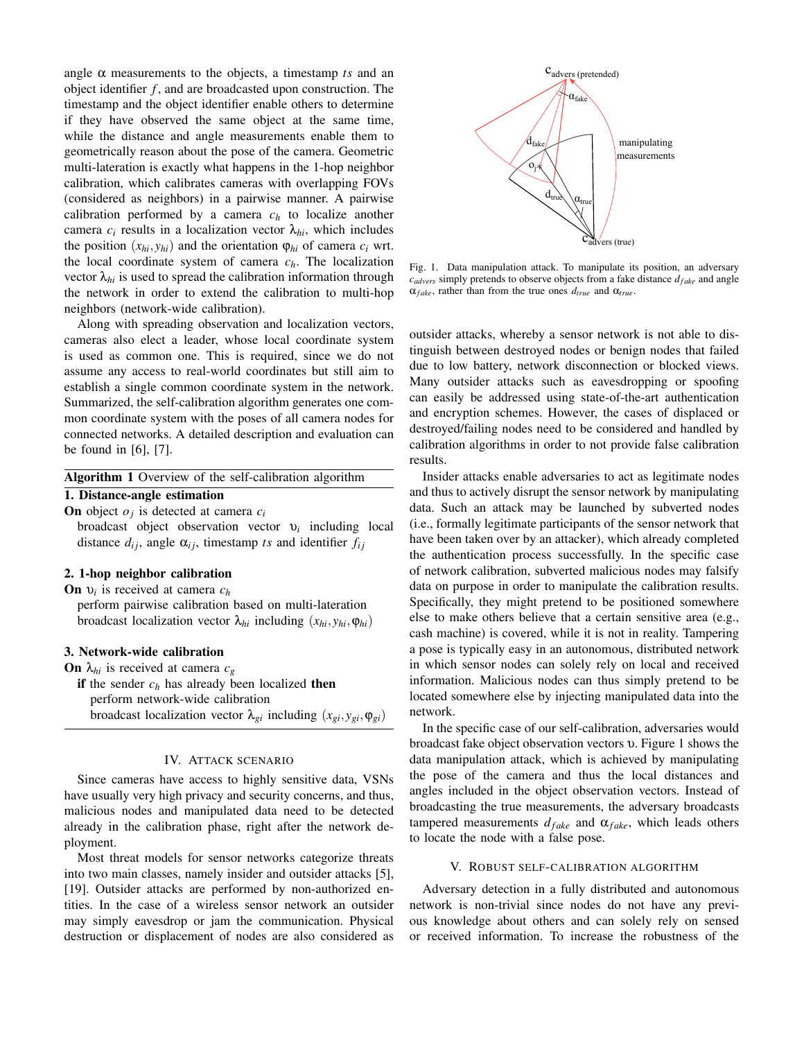angle  $\alpha$  measurements to the objects, a timestamp *ts* and an object identifier *f* , and are broadcasted upon construction. The timestamp and the object identifier enable others to determine if they have observed the same object at the same time, while the distance and angle measurements enable them to geometrically reason about the pose of the camera. Geometric multi-lateration is exactly what happens in the 1-hop neighbor calibration, which calibrates cameras with overlapping FOVs (considered as neighbors) in a pairwise manner. A pairwise calibration performed by a camera  $c_h$  to localize another camera  $c_i$  results in a localization vector  $\lambda_{hi}$ , which includes the position  $(x_{hi}, y_{hi})$  and the orientation  $\varphi_{hi}$  of camera  $c_i$  wrt. the local coordinate system of camera *ch*. The localization vector  $\lambda_{hi}$  is used to spread the calibration information through the network in order to extend the calibration to multi-hop neighbors (network-wide calibration).

Along with spreading observation and localization vectors, cameras also elect a leader, whose local coordinate system is used as common one. This is required, since we do not assume any access to real-world coordinates but still aim to establish a single common coordinate system in the network. Summarized, the self-calibration algorithm generates one common coordinate system with the poses of all camera nodes for connected networks. A detailed description and evaluation can be found in [6], [7].

# 1. Distance-angle estimation

On object *o<sup>j</sup>* is detected at camera *c<sup>i</sup>*

broadcast object observation vector υ*<sup>i</sup>* including local distance  $d_{ij}$ , angle  $\alpha_{ij}$ , timestamp *ts* and identifier  $f_{ij}$ 

## 2. 1-hop neighbor calibration

On υ*<sup>i</sup>* is received at camera *c<sup>h</sup>* perform pairwise calibration based on multi-lateration broadcast localization vector  $λ_{hi}$  including  $(x_{hi}, y_{hi}, φ_{hi})$ 

## 3. Network-wide calibration

**On**  $\lambda_{hi}$  is received at camera  $c_g$ if the sender  $c_h$  has already been localized then perform network-wide calibration broadcast localization vector  $\lambda_{gi}$  including  $(x_{gi}, y_{gi}, \varphi_{gi})$ 

## IV. ATTACK SCENARIO

Since cameras have access to highly sensitive data, VSNs have usually very high privacy and security concerns, and thus, malicious nodes and manipulated data need to be detected already in the calibration phase, right after the network deployment.

Most threat models for sensor networks categorize threats into two main classes, namely insider and outsider attacks [5], [19]. Outsider attacks are performed by non-authorized entities. In the case of a wireless sensor network an outsider may simply eavesdrop or jam the communication. Physical destruction or displacement of nodes are also considered as



Fig. 1. Data manipulation attack. To manipulate its position, an adversary  $c_{advers}$  simply pretends to observe objects from a fake distance  $d_{fake}$  and angle  $\alpha_{fake}$ , rather than from the true ones  $d_{true}$  and  $\alpha_{true}$ .

outsider attacks, whereby a sensor network is not able to distinguish between destroyed nodes or benign nodes that failed due to low battery, network disconnection or blocked views. Many outsider attacks such as eavesdropping or spoofing can easily be addressed using state-of-the-art authentication and encryption schemes. However, the cases of displaced or destroyed/failing nodes need to be considered and handled by calibration algorithms in order to not provide false calibration results.

Insider attacks enable adversaries to act as legitimate nodes and thus to actively disrupt the sensor network by manipulating data. Such an attack may be launched by subverted nodes (i.e., formally legitimate participants of the sensor network that have been taken over by an attacker), which already completed the authentication process successfully. In the specific case of network calibration, subverted malicious nodes may falsify data on purpose in order to manipulate the calibration results. Specifically, they might pretend to be positioned somewhere else to make others believe that a certain sensitive area (e.g., cash machine) is covered, while it is not in reality. Tampering a pose is typically easy in an autonomous, distributed network in which sensor nodes can solely rely on local and received information. Malicious nodes can thus simply pretend to be located somewhere else by injecting manipulated data into the network.

In the specific case of our self-calibration, adversaries would broadcast fake object observation vectors υ. Figure 1 shows the data manipulation attack, which is achieved by manipulating the pose of the camera and thus the local distances and angles included in the object observation vectors. Instead of broadcasting the true measurements, the adversary broadcasts tampered measurements  $d_{fake}$  and  $\alpha_{fake}$ , which leads others to locate the node with a false pose.

## V. ROBUST SELF-CALIBRATION ALGORITHM

Adversary detection in a fully distributed and autonomous network is non-trivial since nodes do not have any previous knowledge about others and can solely rely on sensed or received information. To increase the robustness of the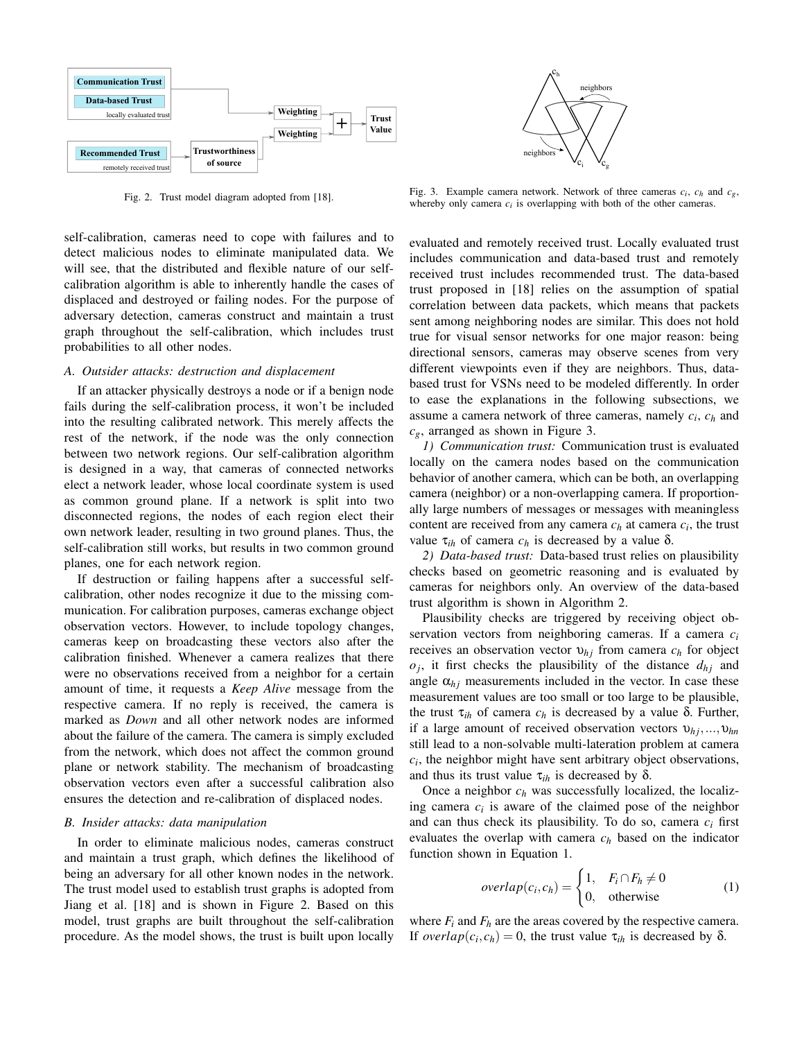

Fig. 2. Trust model diagram adopted from [18].

ch  $c_i$   $V_c$ neighbors neighbor

Fig. 3. Example camera network. Network of three cameras  $c_i$ ,  $c_h$  and  $c_g$ , whereby only camera  $c_i$  is overlapping with both of the other cameras.

self-calibration, cameras need to cope with failures and to detect malicious nodes to eliminate manipulated data. We will see, that the distributed and flexible nature of our selfcalibration algorithm is able to inherently handle the cases of displaced and destroyed or failing nodes. For the purpose of adversary detection, cameras construct and maintain a trust graph throughout the self-calibration, which includes trust probabilities to all other nodes.

## *A. Outsider attacks: destruction and displacement*

If an attacker physically destroys a node or if a benign node fails during the self-calibration process, it won't be included into the resulting calibrated network. This merely affects the rest of the network, if the node was the only connection between two network regions. Our self-calibration algorithm is designed in a way, that cameras of connected networks elect a network leader, whose local coordinate system is used as common ground plane. If a network is split into two disconnected regions, the nodes of each region elect their own network leader, resulting in two ground planes. Thus, the self-calibration still works, but results in two common ground planes, one for each network region.

If destruction or failing happens after a successful selfcalibration, other nodes recognize it due to the missing communication. For calibration purposes, cameras exchange object observation vectors. However, to include topology changes, cameras keep on broadcasting these vectors also after the calibration finished. Whenever a camera realizes that there were no observations received from a neighbor for a certain amount of time, it requests a *Keep Alive* message from the respective camera. If no reply is received, the camera is marked as *Down* and all other network nodes are informed about the failure of the camera. The camera is simply excluded from the network, which does not affect the common ground plane or network stability. The mechanism of broadcasting observation vectors even after a successful calibration also ensures the detection and re-calibration of displaced nodes.

#### *B. Insider attacks: data manipulation*

In order to eliminate malicious nodes, cameras construct and maintain a trust graph, which defines the likelihood of being an adversary for all other known nodes in the network. The trust model used to establish trust graphs is adopted from Jiang et al. [18] and is shown in Figure 2. Based on this model, trust graphs are built throughout the self-calibration procedure. As the model shows, the trust is built upon locally

evaluated and remotely received trust. Locally evaluated trust includes communication and data-based trust and remotely received trust includes recommended trust. The data-based trust proposed in [18] relies on the assumption of spatial correlation between data packets, which means that packets sent among neighboring nodes are similar. This does not hold true for visual sensor networks for one major reason: being directional sensors, cameras may observe scenes from very different viewpoints even if they are neighbors. Thus, databased trust for VSNs need to be modeled differently. In order to ease the explanations in the following subsections, we assume a camera network of three cameras, namely *c<sup>i</sup>* , *c<sup>h</sup>* and *cg*, arranged as shown in Figure 3.

*1) Communication trust:* Communication trust is evaluated locally on the camera nodes based on the communication behavior of another camera, which can be both, an overlapping camera (neighbor) or a non-overlapping camera. If proportionally large numbers of messages or messages with meaningless content are received from any camera  $c_h$  at camera  $c_i$ , the trust value  $τ_{ih}$  of camera  $c_h$  is decreased by a value δ.

*2) Data-based trust:* Data-based trust relies on plausibility checks based on geometric reasoning and is evaluated by cameras for neighbors only. An overview of the data-based trust algorithm is shown in Algorithm 2.

Plausibility checks are triggered by receiving object observation vectors from neighboring cameras. If a camera *c<sup>i</sup>* receives an observation vector  $v_{hj}$  from camera  $c_h$  for object  $o_j$ , it first checks the plausibility of the distance  $d_{h_j}$  and angle  $\alpha_{hi}$  measurements included in the vector. In case these measurement values are too small or too large to be plausible, the trust  $τ_{ih}$  of camera  $c_h$  is decreased by a value δ. Further, if a large amount of received observation vectors υ*h j*,...,υ*hn* still lead to a non-solvable multi-lateration problem at camera  $c_i$ , the neighbor might have sent arbitrary object observations, and thus its trust value  $τ_{ih}$  is decreased by δ.

Once a neighbor *c<sup>h</sup>* was successfully localized, the localizing camera  $c_i$  is aware of the claimed pose of the neighbor and can thus check its plausibility. To do so, camera *c<sup>i</sup>* first evaluates the overlap with camera *c<sup>h</sup>* based on the indicator function shown in Equation 1.

$$
overlap(c_i, c_h) = \begin{cases} 1, & F_i \cap F_h \neq 0 \\ 0, & \text{otherwise} \end{cases}
$$
 (1)

where  $F_i$  and  $F_h$  are the areas covered by the respective camera. If *overlap*( $c_i$ , $c_h$ ) = 0, the trust value  $\tau_{ih}$  is decreased by  $\delta$ .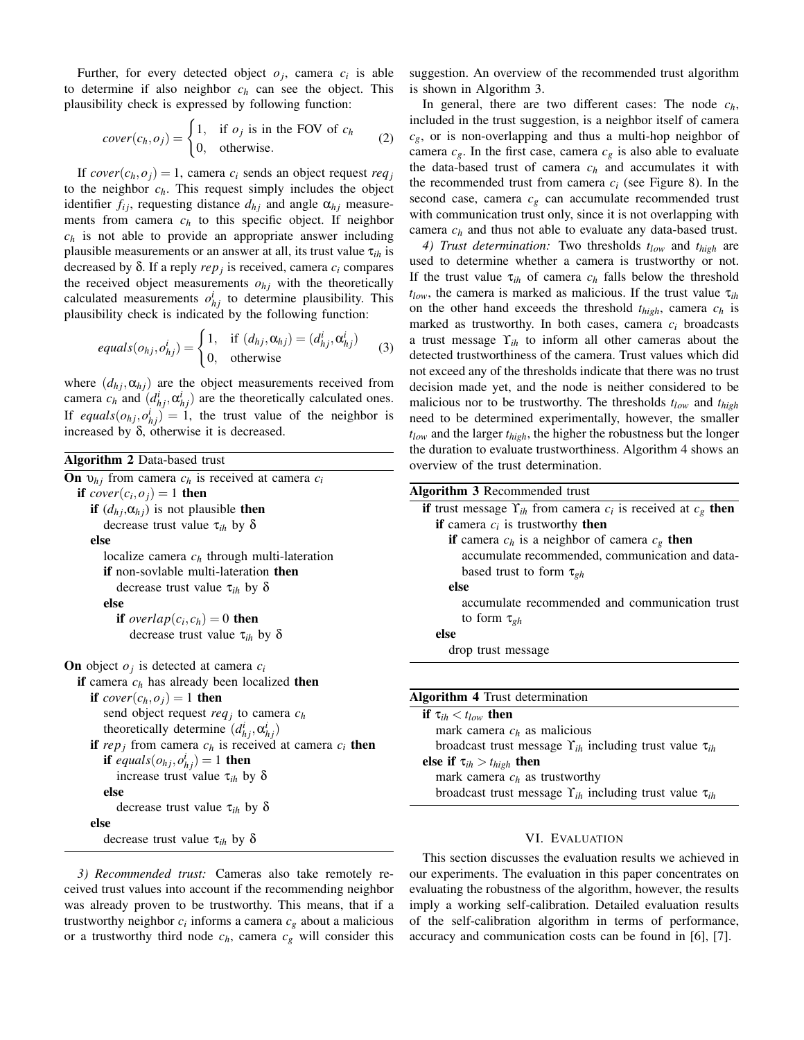Further, for every detected object  $o_j$ , camera  $c_i$  is able to determine if also neighbor *c<sup>h</sup>* can see the object. This plausibility check is expressed by following function:

$$
cover(c_h, o_j) = \begin{cases} 1, & \text{if } o_j \text{ is in the FOV of } c_h \\ 0, & \text{otherwise.} \end{cases}
$$
 (2)

If  $cover(c_h, o_j) = 1$ , camera  $c_i$  sends an object request  $req_j$ to the neighbor *ch*. This request simply includes the object identifier  $f_{ij}$ , requesting distance  $d_{hj}$  and angle  $\alpha_{hj}$  measurements from camera  $c_h$  to this specific object. If neighbor *c<sup>h</sup>* is not able to provide an appropriate answer including plausible measurements or an answer at all, its trust value τ*ih* is decreased by δ. If a reply *rep<sup>j</sup>* is received, camera *c<sup>i</sup>* compares the received object measurements  $o_{hj}$  with the theoretically calculated measurements  $o_{hj}^i$  to determine plausibility. This plausibility check is indicated by the following function:

$$
equals(o_{hj}, o_{hj}^i) = \begin{cases} 1, & \text{if } (d_{hj}, \alpha_{hj}) = (d_{hj}^i, \alpha_{hj}^i) \\ 0, & \text{otherwise} \end{cases}
$$
 (3)

where  $(d_{hj}, \alpha_{hj})$  are the object measurements received from camera  $c_h$  and  $(d_{hj}^i, \alpha_{hj}^i)$  are the theoretically calculated ones. If *equals* $(o_{hj}, o_{hj}^i) = 1$ , the trust value of the neighbor is increased by  $\delta$ , otherwise it is decreased.

| Algorithm 2 Data-based trust                                                  |
|-------------------------------------------------------------------------------|
| <b>On</b> $v_{hj}$ from camera $c_h$ is received at camera $c_i$              |
| if $cover(c_i, o_j) = 1$ then                                                 |
| <b>if</b> $(d_{hj}, \alpha_{hj})$ is not plausible <b>then</b>                |
| decrease trust value $\tau_{ih}$ by $\delta$                                  |
| else                                                                          |
| localize camera $c_h$ through multi-lateration                                |
| <b>if</b> non-soylable multi-lateration <b>then</b>                           |
| decrease trust value $\tau_{ih}$ by $\delta$                                  |
| else                                                                          |
| if overlap $(c_i, c_h) = 0$ then                                              |
| decrease trust value $\tau_{ih}$ by $\delta$                                  |
| <b>On</b> object $o_i$ is detected at camera $c_i$                            |
| if camera $c_h$ has already been localized then                               |
| if $cover(c_h, o_i) = 1$ then                                                 |
| send object request req <sub>j</sub> to camera $c_h$                          |
| theoretically determine $(d_{hi}^i, \alpha_{hi}^i)$                           |
| <b>if</b> rep <sub>i</sub> from camera $c_h$ is received at camera $c_i$ then |
| if equals $(o_{hj}, o_{hj}^i) = 1$ then                                       |
| increase trust value $\tau_{ih}$ by $\delta$                                  |
| else                                                                          |
| decrease trust value $\tau_{ih}$ by $\delta$                                  |
| else                                                                          |
| decrease trust value $\tau_{ih}$ by $\delta$                                  |
|                                                                               |

*3) Recommended trust:* Cameras also take remotely received trust values into account if the recommending neighbor was already proven to be trustworthy. This means, that if a trustworthy neighbor  $c_i$  informs a camera  $c_g$  about a malicious or a trustworthy third node  $c_h$ , camera  $c_g$  will consider this

suggestion. An overview of the recommended trust algorithm is shown in Algorithm 3.

In general, there are two different cases: The node *ch*, included in the trust suggestion, is a neighbor itself of camera  $c_g$ , or is non-overlapping and thus a multi-hop neighbor of camera  $c_g$ . In the first case, camera  $c_g$  is also able to evaluate the data-based trust of camera  $c_h$  and accumulates it with the recommended trust from camera  $c_i$  (see Figure 8). In the second case, camera  $c_g$  can accumulate recommended trust with communication trust only, since it is not overlapping with camera *c<sup>h</sup>* and thus not able to evaluate any data-based trust.

*4) Trust determination:* Two thresholds *tlow* and *thigh* are used to determine whether a camera is trustworthy or not. If the trust value  $\tau_{ih}$  of camera  $c_h$  falls below the threshold  $t_{low}$ , the camera is marked as malicious. If the trust value  $\tau_{ih}$ on the other hand exceeds the threshold *thigh*, camera *c<sup>h</sup>* is marked as trustworthy. In both cases, camera  $c_i$  broadcasts a trust message ϒ*ih* to inform all other cameras about the detected trustworthiness of the camera. Trust values which did not exceed any of the thresholds indicate that there was no trust decision made yet, and the node is neither considered to be malicious nor to be trustworthy. The thresholds *tlow* and *thigh* need to be determined experimentally, however, the smaller *tlow* and the larger *thigh*, the higher the robustness but the longer the duration to evaluate trustworthiness. Algorithm 4 shows an overview of the trust determination.

| <b>Algorithm 3</b> Recommended trust                                         |
|------------------------------------------------------------------------------|
| if trust message $\Upsilon_{ih}$ from camera $c_i$ is received at $c_g$ then |
| <b>if</b> camera $c_i$ is trustworthy <b>then</b>                            |
| <b>if</b> camera $c_h$ is a neighbor of camera $c_g$ then                    |
| accumulate recommended, communication and data-                              |
| based trust to form $\tau_{gh}$                                              |
| else                                                                         |
| accumulate recommended and communication trust                               |
| to form $\tau_{gh}$                                                          |
| else                                                                         |
| drop trust message                                                           |
|                                                                              |
| <b>Algorithm 4</b> Trust determination                                       |
| if $\tau_{ih} < t_{low}$ then                                                |
| mark camera $c_h$ as malicious                                               |
| broadcast trust message $\Upsilon_{ih}$ including trust value $\tau_{ih}$    |
| else if $\tau_{ih} > t_{high}$ then                                          |
| mark camera $c_h$ as trustworthy                                             |
| broadcast trust message $\Upsilon_{ih}$ including trust value $\tau_{ih}$    |
|                                                                              |

## VI. EVALUATION

This section discusses the evaluation results we achieved in our experiments. The evaluation in this paper concentrates on evaluating the robustness of the algorithm, however, the results imply a working self-calibration. Detailed evaluation results of the self-calibration algorithm in terms of performance, accuracy and communication costs can be found in [6], [7].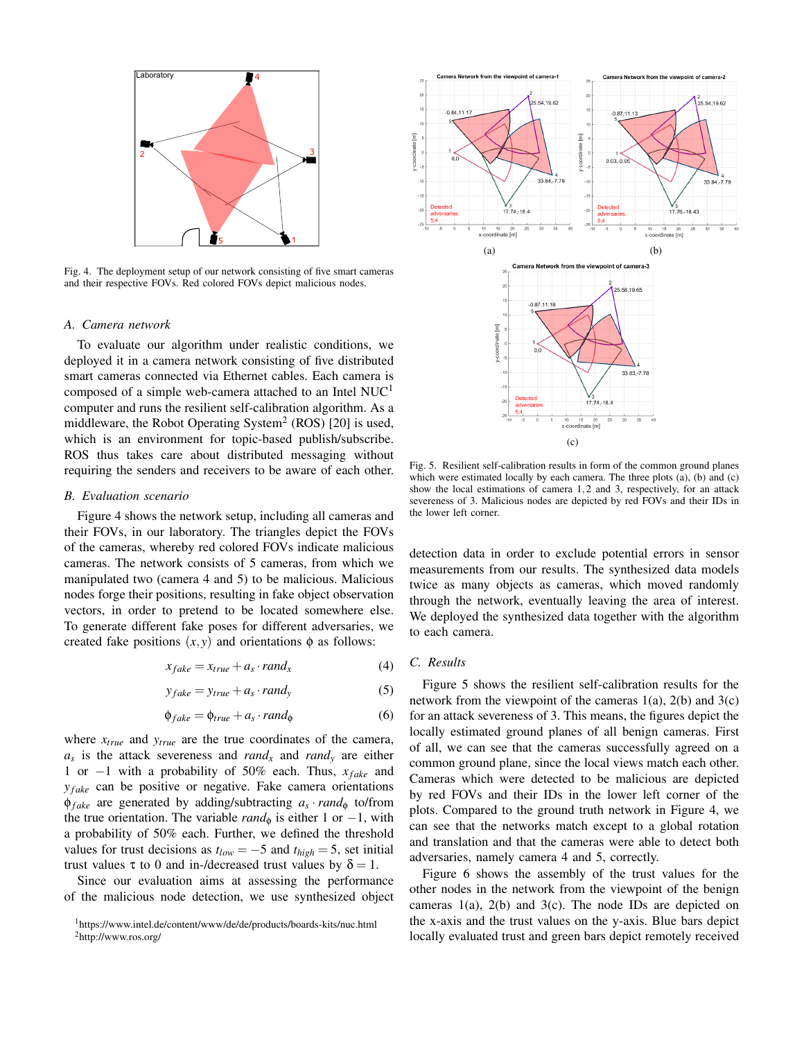

Fig. 4. The deployment setup of our network consisting of five smart cameras and their respective FOVs. Red colored FOVs depict malicious nodes.

#### *A. Camera network*

To evaluate our algorithm under realistic conditions, we deployed it in a camera network consisting of five distributed smart cameras connected via Ethernet cables. Each camera is composed of a simple web-camera attached to an Intel  $NUC<sup>1</sup>$ computer and runs the resilient self-calibration algorithm. As a middleware, the Robot Operating System<sup>2</sup> (ROS) [20] is used, which is an environment for topic-based publish/subscribe. ROS thus takes care about distributed messaging without requiring the senders and receivers to be aware of each other.

#### *B. Evaluation scenario*

Figure 4 shows the network setup, including all cameras and their FOVs, in our laboratory. The triangles depict the FOVs of the cameras, whereby red colored FOVs indicate malicious cameras. The network consists of 5 cameras, from which we manipulated two (camera 4 and 5) to be malicious. Malicious nodes forge their positions, resulting in fake object observation vectors, in order to pretend to be located somewhere else. To generate different fake poses for different adversaries, we created fake positions  $(x, y)$  and orientations  $\phi$  as follows:

$$
x_{fake} = x_{true} + a_s \cdot rand_x \tag{4}
$$

$$
y_{fake} = y_{true} + a_s \cdot rand_y \tag{5}
$$

$$
\phi_{fake} = \phi_{true} + a_s \cdot rand_{\phi} \tag{6}
$$

where *xtrue* and *ytrue* are the true coordinates of the camera, *as* is the attack severeness and *rand<sup>x</sup>* and *rand<sup>y</sup>* are either 1 or −1 with a probability of 50% each. Thus, *xf ake* and *y*<sup>*fake*</sup> can be positive or negative. Fake camera orientations φ*f ake* are generated by adding/subtracting *a<sup>s</sup>* ·*rand*<sup>φ</sup> to/from the true orientation. The variable  $rand_{\phi}$  is either 1 or −1, with a probability of 50% each. Further, we defined the threshold values for trust decisions as  $t_{low} = -5$  and  $t_{high} = 5$ , set initial trust values τ to 0 and in-/decreased trust values by  $δ = 1$ .

Since our evaluation aims at assessing the performance of the malicious node detection, we use synthesized object



Fig. 5. Resilient self-calibration results in form of the common ground planes which were estimated locally by each camera. The three plots (a), (b) and (c) show the local estimations of camera 1,2 and 3, respectively, for an attack severeness of 3. Malicious nodes are depicted by red FOVs and their IDs in the lower left corner.

detection data in order to exclude potential errors in sensor measurements from our results. The synthesized data models twice as many objects as cameras, which moved randomly through the network, eventually leaving the area of interest. We deployed the synthesized data together with the algorithm to each camera.

## *C. Results*

Figure 5 shows the resilient self-calibration results for the network from the viewpoint of the cameras  $1(a)$ ,  $2(b)$  and  $3(c)$ for an attack severeness of 3. This means, the figures depict the locally estimated ground planes of all benign cameras. First of all, we can see that the cameras successfully agreed on a common ground plane, since the local views match each other. Cameras which were detected to be malicious are depicted by red FOVs and their IDs in the lower left corner of the plots. Compared to the ground truth network in Figure 4, we can see that the networks match except to a global rotation and translation and that the cameras were able to detect both adversaries, namely camera 4 and 5, correctly.

Figure 6 shows the assembly of the trust values for the other nodes in the network from the viewpoint of the benign cameras  $1(a)$ ,  $2(b)$  and  $3(c)$ . The node IDs are depicted on the x-axis and the trust values on the y-axis. Blue bars depict locally evaluated trust and green bars depict remotely received

<sup>1</sup>https://www.intel.de/content/www/de/de/products/boards-kits/nuc.html

<sup>2</sup>http://www.ros.org/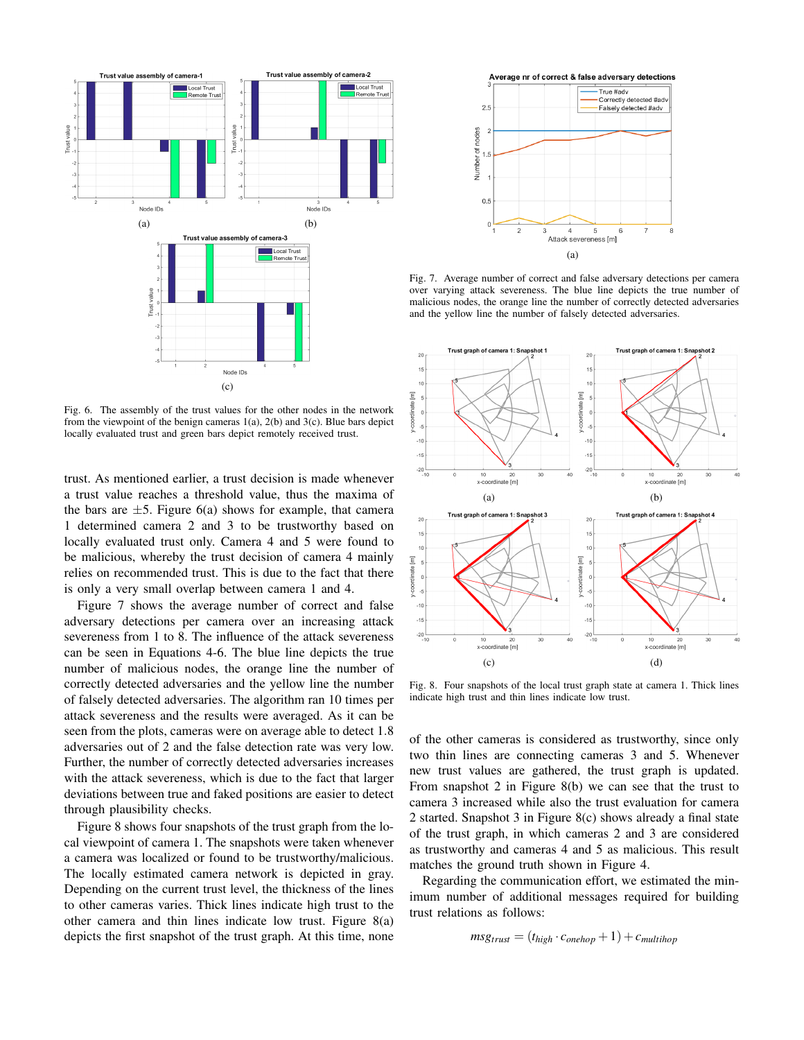

Fig. 6. The assembly of the trust values for the other nodes in the network from the viewpoint of the benign cameras  $1(a)$ ,  $2(b)$  and  $3(c)$ . Blue bars depict locally evaluated trust and green bars depict remotely received trust.

trust. As mentioned earlier, a trust decision is made whenever a trust value reaches a threshold value, thus the maxima of the bars are  $\pm 5$ . Figure 6(a) shows for example, that camera 1 determined camera 2 and 3 to be trustworthy based on locally evaluated trust only. Camera 4 and 5 were found to be malicious, whereby the trust decision of camera 4 mainly relies on recommended trust. This is due to the fact that there is only a very small overlap between camera 1 and 4.

Figure 7 shows the average number of correct and false adversary detections per camera over an increasing attack severeness from 1 to 8. The influence of the attack severeness can be seen in Equations 4-6. The blue line depicts the true number of malicious nodes, the orange line the number of correctly detected adversaries and the yellow line the number of falsely detected adversaries. The algorithm ran 10 times per attack severeness and the results were averaged. As it can be seen from the plots, cameras were on average able to detect 1.8 adversaries out of 2 and the false detection rate was very low. Further, the number of correctly detected adversaries increases with the attack severeness, which is due to the fact that larger deviations between true and faked positions are easier to detect through plausibility checks.

Figure 8 shows four snapshots of the trust graph from the local viewpoint of camera 1. The snapshots were taken whenever a camera was localized or found to be trustworthy/malicious. The locally estimated camera network is depicted in gray. Depending on the current trust level, the thickness of the lines to other cameras varies. Thick lines indicate high trust to the other camera and thin lines indicate low trust. Figure 8(a) depicts the first snapshot of the trust graph. At this time, none



Fig. 7. Average number of correct and false adversary detections per camera over varying attack severeness. The blue line depicts the true number of malicious nodes, the orange line the number of correctly detected adversaries and the yellow line the number of falsely detected adversaries.



Fig. 8. Four snapshots of the local trust graph state at camera 1. Thick lines indicate high trust and thin lines indicate low trust.

of the other cameras is considered as trustworthy, since only two thin lines are connecting cameras 3 and 5. Whenever new trust values are gathered, the trust graph is updated. From snapshot 2 in Figure 8(b) we can see that the trust to camera 3 increased while also the trust evaluation for camera 2 started. Snapshot 3 in Figure 8(c) shows already a final state of the trust graph, in which cameras 2 and 3 are considered as trustworthy and cameras 4 and 5 as malicious. This result matches the ground truth shown in Figure 4.

Regarding the communication effort, we estimated the minimum number of additional messages required for building trust relations as follows:

$$
msg_{trust} = (t_{high} \cdot c_{onehop} + 1) + c_{multihop}
$$